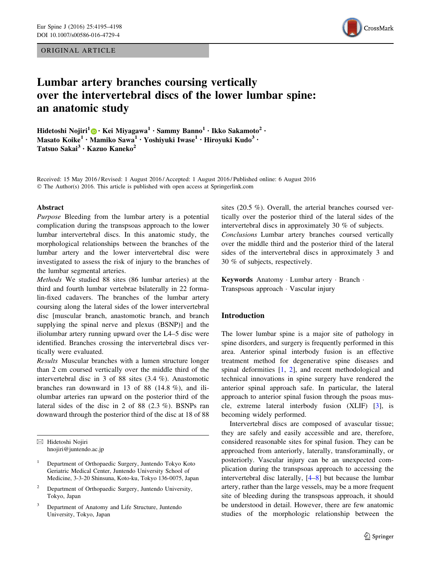ORIGINAL ARTICLE



# Lumbar artery branches coursing vertically over the intervertebral discs of the lower lumbar spine: an anatomic study

Hidetoshi Nojiri<sup>1</sup> $\bigcirc$  • Kei Miyagawa<sup>1</sup> • Sammy Banno<sup>1</sup> • Ikko Sakamoto<sup>2</sup> • Masato Koike<sup>1</sup> • Mamiko Sawa<sup>1</sup> • Yoshiyuki Iwase<sup>1</sup> • Hiroyuki Kudo<sup>3</sup> • Tatsuo Sakai<sup>3</sup> • Kazuo Kaneko<sup>2</sup>

Received: 15 May 2016 / Revised: 1 August 2016 / Accepted: 1 August 2016 / Published online: 6 August 2016 © The Author(s) 2016. This article is published with open access at Springerlink.com

#### Abstract

Purpose Bleeding from the lumbar artery is a potential complication during the transpsoas approach to the lower lumbar intervertebral discs. In this anatomic study, the morphological relationships between the branches of the lumbar artery and the lower intervertebral disc were investigated to assess the risk of injury to the branches of the lumbar segmental arteries.

Methods We studied 88 sites (86 lumbar arteries) at the third and fourth lumbar vertebrae bilaterally in 22 formalin-fixed cadavers. The branches of the lumbar artery coursing along the lateral sides of the lower intervertebral disc [muscular branch, anastomotic branch, and branch supplying the spinal nerve and plexus (BSNP)] and the iliolumbar artery running upward over the L4–5 disc were identified. Branches crossing the intervertebral discs vertically were evaluated.

Results Muscular branches with a lumen structure longer than 2 cm coursed vertically over the middle third of the intervertebral disc in 3 of 88 sites (3.4 %). Anastomotic branches ran downward in 13 of 88 (14.8 %), and iliolumbar arteries ran upward on the posterior third of the lateral sides of the disc in 2 of 88 (2.3 %). BSNPs ran downward through the posterior third of the disc at 18 of 88

 $\boxtimes$  Hidetoshi Nojiri hnojiri@juntendo.ac.jp

sites (20.5 %). Overall, the arterial branches coursed vertically over the posterior third of the lateral sides of the intervertebral discs in approximately 30 % of subjects. Conclusions Lumbar artery branches coursed vertically over the middle third and the posterior third of the lateral sides of the intervertebral discs in approximately 3 and 30 % of subjects, respectively.

Keywords Anatomy - Lumbar artery - Branch - Transpsoas approach - Vascular injury

## Introduction

The lower lumbar spine is a major site of pathology in spine disorders, and surgery is frequently performed in this area. Anterior spinal interbody fusion is an effective treatment method for degenerative spine diseases and spinal deformities [[1,](#page-3-0) [2\]](#page-3-0), and recent methodological and technical innovations in spine surgery have rendered the anterior spinal approach safe. In particular, the lateral approach to anterior spinal fusion through the psoas muscle, extreme lateral interbody fusion (XLIF) [\[3](#page-3-0)], is becoming widely performed.

Intervertebral discs are composed of avascular tissue; they are safely and easily accessible and are, therefore, considered reasonable sites for spinal fusion. They can be approached from anteriorly, laterally, transforaminally, or posteriorly. Vascular injury can be an unexpected complication during the transpsoas approach to accessing the intervertebral disc laterally, [\[4–8](#page-3-0)] but because the lumbar artery, rather than the large vessels, may be a more frequent site of bleeding during the transpsoas approach, it should be understood in detail. However, there are few anatomic studies of the morphologic relationship between the

<sup>&</sup>lt;sup>1</sup> Department of Orthopaedic Surgery, Juntendo Tokyo Koto Geriatric Medical Center, Juntendo University School of Medicine, 3-3-20 Shinsuna, Koto-ku, Tokyo 136-0075, Japan

<sup>2</sup> Department of Orthopaedic Surgery, Juntendo University, Tokyo, Japan

<sup>3</sup> Department of Anatomy and Life Structure, Juntendo University, Tokyo, Japan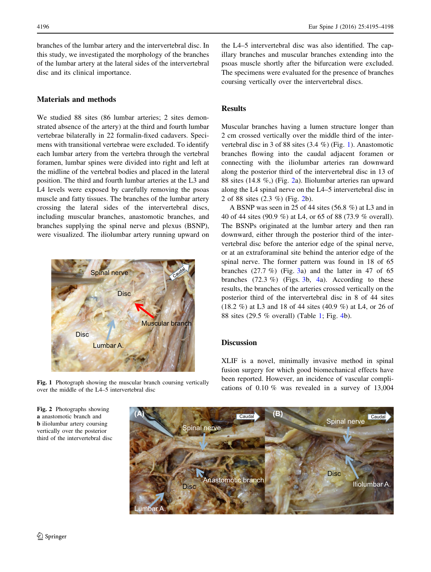branches of the lumbar artery and the intervertebral disc. In this study, we investigated the morphology of the branches of the lumbar artery at the lateral sides of the intervertebral disc and its clinical importance.

# Materials and methods

We studied 88 sites (86 lumbar arteries; 2 sites demonstrated absence of the artery) at the third and fourth lumbar vertebrae bilaterally in 22 formalin-fixed cadavers. Specimens with transitional vertebrae were excluded. To identify each lumbar artery from the vertebra through the vertebral foramen, lumbar spines were divided into right and left at the midline of the vertebral bodies and placed in the lateral position. The third and fourth lumbar arteries at the L3 and L4 levels were exposed by carefully removing the psoas muscle and fatty tissues. The branches of the lumbar artery crossing the lateral sides of the intervertebral discs, including muscular branches, anastomotic branches, and branches supplying the spinal nerve and plexus (BSNP), were visualized. The iliolumbar artery running upward on



Fig. 1 Photograph showing the muscular branch coursing vertically over the middle of the L4–5 intervertebral disc

the L4–5 intervertebral disc was also identified. The capillary branches and muscular branches extending into the psoas muscle shortly after the bifurcation were excluded. The specimens were evaluated for the presence of branches coursing vertically over the intervertebral discs.

## Results

Muscular branches having a lumen structure longer than 2 cm crossed vertically over the middle third of the intervertebral disc in 3 of 88 sites (3.4 %) (Fig. 1). Anastomotic branches flowing into the caudal adjacent foramen or connecting with the iliolumbar arteries ran downward along the posterior third of the intervertebral disc in 13 of 88 sites (14.8 %,) (Fig. 2a). Iliolumbar arteries ran upward along the L4 spinal nerve on the L4–5 intervertebral disc in 2 of 88 sites (2.3 %) (Fig. 2b).

A BSNP was seen in 25 of 44 sites (56.8 %) at L3 and in 40 of 44 sites (90.9 %) at L4, or 65 of 88 (73.9 % overall). The BSNPs originated at the lumbar artery and then ran downward, either through the posterior third of the intervertebral disc before the anterior edge of the spinal nerve, or at an extraforaminal site behind the anterior edge of the spinal nerve. The former pattern was found in 18 of 65 branches  $(27.7 \%)$  (Fig. [3a](#page-2-0)) and the latter in 47 of 65 branches  $(72.3 \%)$  (Figs. [3b](#page-2-0), [4](#page-2-0)a). According to these results, the branches of the arteries crossed vertically on the posterior third of the intervertebral disc in 8 of 44 sites (18.2 %) at L3 and 18 of 44 sites (40.9 %) at L4, or 26 of 88 sites (29.5 % overall) (Table [1](#page-3-0); Fig. [4](#page-2-0)b).

## **Discussion**

XLIF is a novel, minimally invasive method in spinal fusion surgery for which good biomechanical effects have been reported. However, an incidence of vascular complications of 0.10 % was revealed in a survey of 13,004



Fig. 2 Photographs showing a anastomotic branch and b iliolumbar artery coursing vertically over the posterior third of the intervertebral disc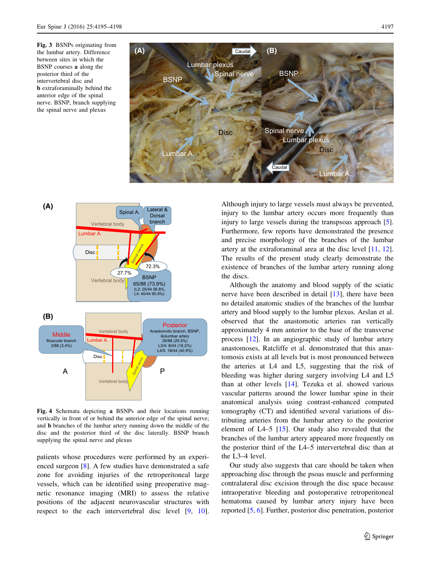<span id="page-2-0"></span>Fig. 3 BSNPs originating from the lumbar artery. Difference between sites in which the BSNP courses a along the posterior third of the intervertebral disc and b extraforaminally behind the anterior edge of the spinal nerve. BSNP, branch supplying the spinal nerve and plexus





Fig. 4 Schemata depicting a BSNPs and their locations running vertically in front of or behind the anterior edge of the spinal nerve; and b branches of the lumbar artery running down the middle of the disc and the posterior third of the disc laterally. BSNP branch supplying the spinal nerve and plexus

patients whose procedures were performed by an experienced surgeon [\[8](#page-3-0)]. A few studies have demonstrated a safe zone for avoiding injuries of the retroperitoneal large vessels, which can be identified using preoperative magnetic resonance imaging (MRI) to assess the relative positions of the adjacent neurovascular structures with respect to the each intervertebral disc level [[9,](#page-3-0) [10](#page-3-0)]. Although injury to large vessels must always be prevented, injury to the lumbar artery occurs more frequently than injury to large vessels during the transpsoas approach [\[5](#page-3-0)]. Furthermore, few reports have demonstrated the presence and precise morphology of the branches of the lumbar artery at the extraforaminal area at the disc level [[11,](#page-3-0) [12](#page-3-0)]. The results of the present study clearly demonstrate the existence of branches of the lumbar artery running along the discs.

Although the anatomy and blood supply of the sciatic nerve have been described in detail [[13\]](#page-3-0), there have been no detailed anatomic studies of the branches of the lumbar artery and blood supply to the lumbar plexus. Arslan et al. observed that the anastomotic arteries ran vertically approximately 4 mm anterior to the base of the transverse process [\[12](#page-3-0)]. In an angiographic study of lumbar artery anastomoses, Ratcliffe et al. demonstrated that this anastomosis exists at all levels but is most pronounced between the arteries at L4 and L5, suggesting that the risk of bleeding was higher during surgery involving L4 and L5 than at other levels [[14\]](#page-3-0). Tezuka et al. showed various vascular patterns around the lower lumbar spine in their anatomical analysis using contrast-enhanced computed tomography (CT) and identified several variations of distributing arteries from the lumbar artery to the posterior element of L4–5 [\[15](#page-3-0)]. Our study also revealed that the branches of the lumbar artery appeared more frequently on the posterior third of the L4–5 intervertebral disc than at the L3–4 level.

Our study also suggests that care should be taken when approaching disc through the psoas muscle and performing contralateral disc excision through the disc space because intraoperative bleeding and postoperative retroperitoneal hematoma caused by lumbar artery injury have been reported [\[5](#page-3-0), [6\]](#page-3-0). Further, posterior disc penetration, posterior